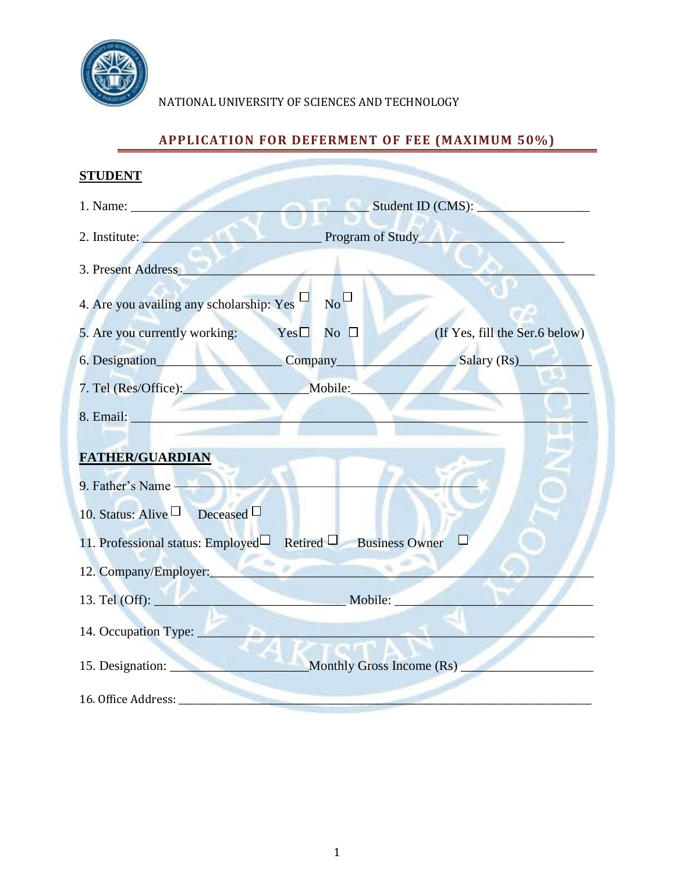

## NATIONAL UNIVERSITY OF SCIENCES AND TECHNOLOGY

# **APPLICATION FOR DEFERMENT OF FEE (MAXIMUM 50%)**

| <b>STUDENT</b>                                                               |                                            |                                |  |  |  |
|------------------------------------------------------------------------------|--------------------------------------------|--------------------------------|--|--|--|
| 1. Name:                                                                     | Student ID (CMS):                          |                                |  |  |  |
| 2. Institute:                                                                | <b>Example 3 Program of Study</b>          |                                |  |  |  |
| 3. Present Address                                                           |                                            |                                |  |  |  |
| 4. Are you availing any scholarship: Yes $\Box$                              | $_{\rm No}$ $\Box$                         |                                |  |  |  |
| 5. Are you currently working:                                                | $Yes \Box$<br>No $\Box$                    | (If Yes, fill the Ser.6 below) |  |  |  |
|                                                                              |                                            | Salary (Rs)                    |  |  |  |
| 7. Tel (Res/Office):                                                         | Mobile:                                    |                                |  |  |  |
| 8. Email: New York 1988                                                      |                                            |                                |  |  |  |
| <b>FATHER/GUARDIAN</b><br>9. Father's Name<br>10. Status: Alive □ Deceased □ |                                            |                                |  |  |  |
| 11. Professional status: Employed Retired $\Box$ Business Owner              |                                            |                                |  |  |  |
| 12. Company/Employer:                                                        |                                            |                                |  |  |  |
|                                                                              | 13. Tel (Off): Mobile:                     |                                |  |  |  |
|                                                                              |                                            |                                |  |  |  |
|                                                                              | 15. Designation: Monthly Gross Income (Rs) |                                |  |  |  |
|                                                                              |                                            |                                |  |  |  |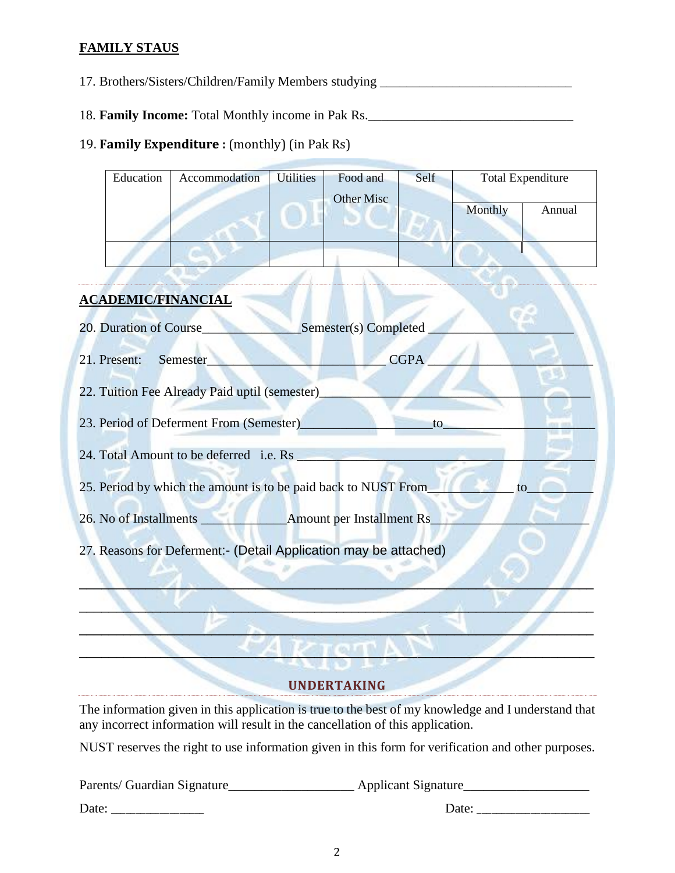### **FAMILY STAUS**

17. Brothers/Sisters/Children/Family Members studying \_\_\_\_\_\_\_\_\_\_\_\_\_\_\_\_\_\_\_\_\_\_\_\_\_\_

18. **Family Income:** Total Monthly income in Pak Rs.

### 19. **Family Expenditure :** (monthly) (in Pak Rs)

| Education                                                            | Accommodation | <b>Utilities</b><br>Food and<br>Other Misc |  | Self | <b>Total Expenditure</b> |        |  |
|----------------------------------------------------------------------|---------------|--------------------------------------------|--|------|--------------------------|--------|--|
|                                                                      |               |                                            |  |      | Monthly                  | Annual |  |
|                                                                      |               |                                            |  |      |                          |        |  |
|                                                                      |               |                                            |  |      |                          |        |  |
| <b>ACADEMIC/FINANCIAL</b>                                            |               |                                            |  |      |                          |        |  |
| 20. Duration of Course<br>Semester(s) Completed                      |               |                                            |  |      |                          |        |  |
| <b>CGPA</b><br>21. Present:<br>Semester                              |               |                                            |  |      |                          |        |  |
| 22. Tuition Fee Already Paid uptil (semester)                        |               |                                            |  |      |                          |        |  |
| 23. Period of Deferment From (Semester)<br>to                        |               |                                            |  |      |                          |        |  |
| 24. Total Amount to be deferred i.e. Rs                              |               |                                            |  |      |                          |        |  |
| 25. Period by which the amount is to be paid back to NUST From<br>to |               |                                            |  |      |                          |        |  |
|                                                                      |               |                                            |  |      |                          |        |  |
| 27. Reasons for Deferment:- (Detail Application may be attached)     |               |                                            |  |      |                          |        |  |
|                                                                      |               |                                            |  |      |                          |        |  |

### **Service UNDERTAKING**

 $\blacksquare$ 

 $\blacksquare$ 

 $\blacksquare$ 

The information given in this application is true to the best of my knowledge and I understand that any incorrect information will result in the cancellation of this application.

NUST reserves the right to use information given in this form for verification and other purposes.

| Parents/ Guardian Signature_ | Applicant Signature |
|------------------------------|---------------------|
| Date:                        | Date:               |